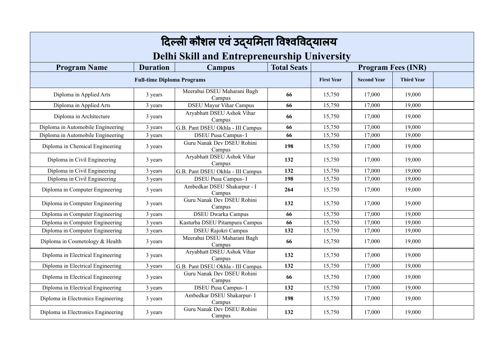|                                    |                 | दिल्ली कौशल एवं उद्यमिता विश्वविद्यालय             |                    |        |                    |                           |  |
|------------------------------------|-----------------|----------------------------------------------------|--------------------|--------|--------------------|---------------------------|--|
|                                    |                 | <b>Delhi Skill and Entrepreneurship University</b> |                    |        |                    |                           |  |
| <b>Program Name</b>                | <b>Duration</b> | <b>Campus</b>                                      | <b>Total Seats</b> |        |                    | <b>Program Fees (INR)</b> |  |
| <b>Full-time Diploma Programs</b>  |                 |                                                    |                    |        | <b>Second Year</b> | <b>Third Year</b>         |  |
| Diploma in Applied Arts            | 3 years         | Meerabai DSEU Maharani Bagh<br>Campus              | 66                 | 15,750 | 17,000             | 19,000                    |  |
| Diploma in Applied Arts            | 3 years         | <b>DSEU Mayur Vihar Campus</b>                     | 66                 | 15,750 | 17,000             | 19,000                    |  |
| Diploma in Architecture            | 3 years         | Aryabhatt DSEU Ashok Vihar<br>Campus               | 66                 | 15,750 | 17,000             | 19,000                    |  |
| Diploma in Automobile Engineering  | 3 years         | G.B. Pant DSEU Okhla - III Campus                  | 66                 | 15,750 | 17,000             | 19,000                    |  |
| Diploma in Automobile Engineering  | 3 years         | <b>DSEU Pusa Campus-I</b>                          | 66                 | 15,750 | 17,000             | 19,000                    |  |
| Diploma in Chemical Engineering    | 3 years         | Guru Nanak Dev DSEU Rohini<br>Campus               | 198                | 15,750 | 17,000             | 19,000                    |  |
| Diploma in Civil Engineering       | 3 years         | Aryabhatt DSEU Ashok Vihar<br>Campus               | 132                | 15,750 | 17,000             | 19,000                    |  |
| Diploma in Civil Engineering       | 3 years         | G.B. Pant DSEU Okhla - III Campus                  | 132                | 15,750 | 17,000             | 19,000                    |  |
| Diploma in Civil Engineering       | 3 years         | <b>DSEU Pusa Campus-I</b>                          | 198                | 15,750 | 17,000             | 19,000                    |  |
| Diploma in Computer Engineering    | 3 years         | Ambedkar DSEU Shakarpur - I<br>Campus              | 264                | 15,750 | 17,000             | 19,000                    |  |
| Diploma in Computer Engineering    | 3 years         | Guru Nanak Dev DSEU Rohini<br>Campus               | 132                | 15,750 | 17,000             | 19,000                    |  |
| Diploma in Computer Engineering    | 3 years         | <b>DSEU Dwarka Campus</b>                          | 66                 | 15,750 | 17,000             | 19,000                    |  |
| Diploma in Computer Engineering    | 3 years         | Kasturba DSEU Pitampura Campus                     | 66                 | 15,750 | 17,000             | 19,000                    |  |
| Diploma in Computer Engineering    | 3 years         | <b>DSEU Rajokri Campus</b>                         | 132                | 15,750 | 17,000             | 19,000                    |  |
| Diploma in Cosmetology & Health    | 3 years         | Meerabai DSEU Maharani Bagh<br>Campus              | 66                 | 15,750 | 17,000             | 19,000                    |  |
| Diploma in Electrical Engineering  | 3 years         | Aryabhatt DSEU Ashok Vihar<br>Campus               | 132                | 15,750 | 17,000             | 19,000                    |  |
| Diploma in Electrical Engineering  | 3 years         | G.B. Pant DSEU Okhla - III Campus                  | 132                | 15,750 | 17,000             | 19,000                    |  |
| Diploma in Electrical Engineering  | 3 years         | Guru Nanak Dev DSEU Rohini<br>Campus               | 66                 | 15,750 | 17,000             | 19,000                    |  |
| Diploma in Electrical Engineering  | 3 years         | <b>DSEU Pusa Campus-I</b>                          | 132                | 15,750 | 17,000             | 19,000                    |  |
| Diploma in Electronics Engineering | 3 years         | Ambedkar DSEU Shakarpur- I<br>Campus               | 198                | 15,750 | 17,000             | 19,000                    |  |
| Diploma in Electronics Engineering | 3 years         | Guru Nanak Dev DSEU Rohini<br>Campus               | 132                | 15,750 | 17,000             | 19,000                    |  |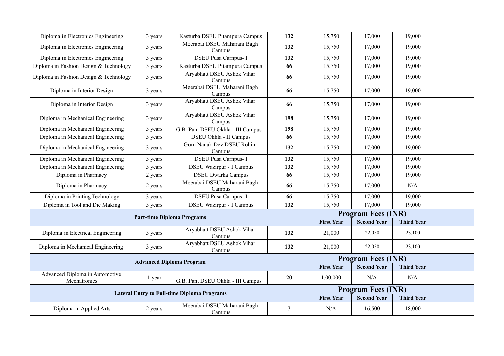| Diploma in Electronics Engineering                 | 3 years | Kasturba DSEU Pitampura Campus        | 132            | 15,750                    | 17,000             | 19,000            |  |
|----------------------------------------------------|---------|---------------------------------------|----------------|---------------------------|--------------------|-------------------|--|
| Diploma in Electronics Engineering                 | 3 years | Meerabai DSEU Maharani Bagh<br>Campus | 132            | 15,750                    | 17,000             | 19,000            |  |
| Diploma in Electronics Engineering                 | 3 years | <b>DSEU Pusa Campus-I</b>             | 132            | 15,750                    | 17,000             | 19,000            |  |
| Diploma in Fashion Design & Technology             | 3 years | Kasturba DSEU Pitampura Campus        | 66             | 15,750                    | 17,000             | 19,000            |  |
| Diploma in Fashion Design & Technology             | 3 years | Aryabhatt DSEU Ashok Vihar<br>Campus  | 66             | 15,750                    | 17,000             | 19,000            |  |
| Diploma in Interior Design                         | 3 years | Meerabai DSEU Maharani Bagh<br>Campus | 66             | 15,750                    | 17,000             | 19,000            |  |
| Diploma in Interior Design                         | 3 years | Aryabhatt DSEU Ashok Vihar<br>Campus  | 66             | 15,750                    | 17,000             | 19,000            |  |
| Diploma in Mechanical Engineering                  | 3 years | Aryabhatt DSEU Ashok Vihar<br>Campus  | 198            | 15,750                    | 17,000             | 19,000            |  |
| Diploma in Mechanical Engineering                  | 3 years | G.B. Pant DSEU Okhla - III Campus     | 198            | 15,750                    | 17,000             | 19,000            |  |
| Diploma in Mechanical Engineering                  | 3 years | DSEU Okhla - II Campus                | 66             | 15,750                    | 17,000             | 19,000            |  |
| Diploma in Mechanical Engineering                  | 3 years | Guru Nanak Dev DSEU Rohini<br>Campus  | 132            | 15,750                    | 17,000             | 19,000            |  |
| Diploma in Mechanical Engineering                  | 3 years | <b>DSEU Pusa Campus-I</b>             | 132            | 15,750                    | 17,000             | 19,000            |  |
| Diploma in Mechanical Engineering                  | 3 years | <b>DSEU Wazirpur - I Campus</b>       | 132            | 15,750                    | 17,000             | 19,000            |  |
| Diploma in Pharmacy                                | 2 years | <b>DSEU Dwarka Campus</b>             | 66             | 15,750                    | 17,000             | 19,000            |  |
| Diploma in Pharmacy                                | 2 years | Meerabai DSEU Maharani Bagh<br>Campus | 66             | 15,750                    | 17,000             | N/A               |  |
| Diploma in Printing Technology                     | 3 years | <b>DSEU Pusa Campus-I</b>             | 66             | 15,750                    | 17,000             | 19,000            |  |
| Diploma in Tool and Die Making                     | 3 years | <b>DSEU Wazirpur - I Campus</b>       | 132            | 15,750                    | 17,000             | 19,000            |  |
|                                                    |         |                                       |                | <b>Program Fees (INR)</b> |                    |                   |  |
| <b>Part-time Diploma Programs</b>                  |         |                                       |                | <b>First Year</b>         | <b>Second Year</b> | <b>Third Year</b> |  |
| Diploma in Electrical Engineering                  | 3 years | Aryabhatt DSEU Ashok Vihar<br>Campus  | 132            | 21,000                    | 22,050             | 23,100            |  |
| Diploma in Mechanical Engineering                  | 3 years | Aryabhatt DSEU Ashok Vihar<br>Campus  | 132            | 21,000                    | 22,050             | 23,100            |  |
|                                                    |         |                                       |                | <b>Program Fees (INR)</b> |                    |                   |  |
| <b>Advanced Diploma Program</b>                    |         |                                       |                | <b>First Year</b>         | <b>Second Year</b> | <b>Third Year</b> |  |
| Advanced Diploma in Automotive<br>Mechatronics     | 1 year  | G.B. Pant DSEU Okhla - III Campus     | 20             | 1,00,000                  | N/A                | N/A               |  |
| <b>Lateral Entry to Full-time Diploma Programs</b> |         |                                       |                | <b>Program Fees (INR)</b> |                    |                   |  |
|                                                    |         |                                       |                | <b>First Year</b>         | <b>Second Year</b> | <b>Third Year</b> |  |
| Diploma in Applied Arts                            | 2 years | Meerabai DSEU Maharani Bagh<br>Campus | $\overline{7}$ | N/A                       | 16,500             | 18,000            |  |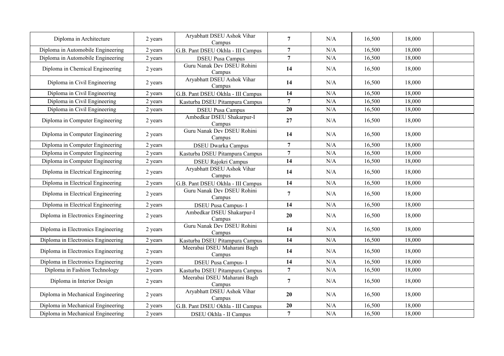| Diploma in Architecture            | 2 years | Aryabhatt DSEU Ashok Vihar<br>Campus  | $\overline{7}$ | N/A | 16,500 | 18,000 |  |
|------------------------------------|---------|---------------------------------------|----------------|-----|--------|--------|--|
| Diploma in Automobile Engineering  | 2 years | G.B. Pant DSEU Okhla - III Campus     | $\overline{7}$ | N/A | 16,500 | 18,000 |  |
| Diploma in Automobile Engineering  | 2 years | <b>DSEU Pusa Campus</b>               | $\overline{7}$ | N/A | 16,500 | 18,000 |  |
| Diploma in Chemical Engineering    | 2 years | Guru Nanak Dev DSEU Rohini<br>Campus  | 14             | N/A | 16,500 | 18,000 |  |
| Diploma in Civil Engineering       | 2 years | Aryabhatt DSEU Ashok Vihar<br>Campus  | 14             | N/A | 16,500 | 18,000 |  |
| Diploma in Civil Engineering       | 2 years | G.B. Pant DSEU Okhla - III Campus     | 14             | N/A | 16,500 | 18,000 |  |
| Diploma in Civil Engineering       | 2 years | Kasturba DSEU Pitampura Campus        | $\overline{7}$ | N/A | 16,500 | 18,000 |  |
| Diploma in Civil Engineering       | 2 years | <b>DSEU Pusa Campus</b>               | 20             | N/A | 16,500 | 18,000 |  |
| Diploma in Computer Engineering    | 2 years | Ambedkar DSEU Shakarpur-I<br>Campus   | 27             | N/A | 16,500 | 18,000 |  |
| Diploma in Computer Engineering    | 2 years | Guru Nanak Dev DSEU Rohini<br>Campus  | 14             | N/A | 16,500 | 18,000 |  |
| Diploma in Computer Engineering    | 2 years | <b>DSEU Dwarka Campus</b>             | $\overline{7}$ | N/A | 16,500 | 18,000 |  |
| Diploma in Computer Engineering    | 2 years | Kasturba DSEU Pitampura Campus        | $\overline{7}$ | N/A | 16,500 | 18,000 |  |
| Diploma in Computer Engineering    | 2 years | <b>DSEU Rajokri Campus</b>            | 14             | N/A | 16,500 | 18,000 |  |
| Diploma in Electrical Engineering  | 2 years | Aryabhatt DSEU Ashok Vihar<br>Campus  | 14             | N/A | 16,500 | 18,000 |  |
| Diploma in Electrical Engineering  | 2 years | G.B. Pant DSEU Okhla - III Campus     | 14             | N/A | 16,500 | 18,000 |  |
| Diploma in Electrical Engineering  | 2 years | Guru Nanak Dev DSEU Rohini<br>Campus  | $\overline{7}$ | N/A | 16,500 | 18,000 |  |
| Diploma in Electrical Engineering  | 2 years | <b>DSEU Pusa Campus-I</b>             | 14             | N/A | 16,500 | 18,000 |  |
| Diploma in Electronics Engineering | 2 years | Ambedkar DSEU Shakarpur-I<br>Campus   | 20             | N/A | 16,500 | 18,000 |  |
| Diploma in Electronics Engineering | 2 years | Guru Nanak Dev DSEU Rohini<br>Campus  | 14             | N/A | 16,500 | 18,000 |  |
| Diploma in Electronics Engineering | 2 years | Kasturba DSEU Pitampura Campus        | 14             | N/A | 16,500 | 18,000 |  |
| Diploma in Electronics Engineering | 2 years | Meerabai DSEU Maharani Bagh<br>Campus | 14             | N/A | 16,500 | 18,000 |  |
| Diploma in Electronics Engineering | 2 years | <b>DSEU Pusa Campus-I</b>             | 14             | N/A | 16,500 | 18,000 |  |
| Diploma in Fashion Technology      | 2 years | Kasturba DSEU Pitampura Campus        | $\overline{7}$ | N/A | 16,500 | 18,000 |  |
| Diploma in Interior Design         | 2 years | Meerabai DSEU Maharani Bagh<br>Campus | $\overline{7}$ | N/A | 16,500 | 18,000 |  |
| Diploma in Mechanical Engineering  | 2 years | Aryabhatt DSEU Ashok Vihar<br>Campus  | 20             | N/A | 16,500 | 18,000 |  |
| Diploma in Mechanical Engineering  | 2 years | G.B. Pant DSEU Okhla - III Campus     | 20             | N/A | 16,500 | 18,000 |  |
| Diploma in Mechanical Engineering  | 2 years | DSEU Okhla - II Campus                | $\overline{7}$ | N/A | 16,500 | 18,000 |  |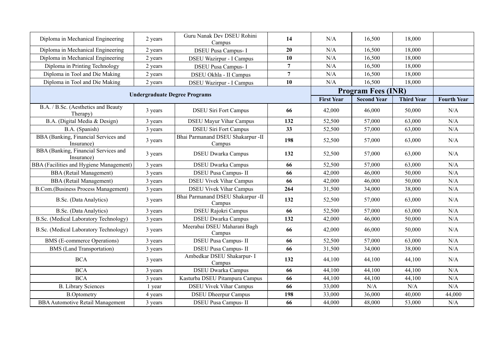| Diploma in Mechanical Engineering                  | 2 years | Guru Nanak Dev DSEU Rohini<br>Campus        | 14             | N/A               | 16,500                    | 18,000            |                    |
|----------------------------------------------------|---------|---------------------------------------------|----------------|-------------------|---------------------------|-------------------|--------------------|
| Diploma in Mechanical Engineering                  | 2 years | <b>DSEU Pusa Campus-I</b>                   | 20             | N/A               | 16,500                    | 18,000            |                    |
| Diploma in Mechanical Engineering                  | 2 years | <b>DSEU Wazirpur - I Campus</b>             | 10             | N/A               | 16,500                    | 18,000            |                    |
| Diploma in Printing Technology                     | 2 years | <b>DSEU Pusa Campus-I</b>                   | $\overline{7}$ | N/A               | 16,500                    | 18,000            |                    |
| Diploma in Tool and Die Making                     | 2 years | DSEU Okhla - II Campus                      | $7\phantom{.}$ | N/A               | 16,500                    | 18,000            |                    |
| Diploma in Tool and Die Making                     | 2 years | <b>DSEU Wazirpur - I Campus</b>             | 10             | N/A               | 16,500                    | 18,000            |                    |
|                                                    |         |                                             |                |                   | <b>Program Fees (INR)</b> |                   |                    |
| <b>Undergraduate Degree Programs</b>               |         |                                             |                | <b>First Year</b> | <b>Second Year</b>        | <b>Third Year</b> | <b>Fourth Year</b> |
| B.A. / B.Sc. (Aesthetics and Beauty<br>Therapy)    | 3 years | <b>DSEU Siri Fort Campus</b>                | 66             | 42,000            | 46,000                    | 50,000            | N/A                |
| B.A. (Digital Media & Design)                      | 3 years | <b>DSEU Mayur Vihar Campus</b>              | 132            | 52,500            | 57,000                    | 63,000            | N/A                |
| B.A. (Spanish)                                     | 3 years | <b>DSEU Siri Fort Campus</b>                | 33             | 52,500            | 57,000                    | 63,000            | N/A                |
| BBA (Banking, Financial Services and<br>Insurance) | 3 years | Bhai Parmanand DSEU Shakarpur -II<br>Campus | 198            | 52,500            | 57,000                    | 63,000            | N/A                |
| BBA (Banking, Financial Services and<br>Insurance) | 3 years | <b>DSEU Dwarka Campus</b>                   | 132            | 52,500            | 57,000                    | 63,000            | N/A                |
| BBA (Facilities and Hygiene Management)            | 3 years | <b>DSEU Dwarka Campus</b>                   | 66             | 52,500            | 57,000                    | 63,000            | N/A                |
| <b>BBA</b> (Retail Management)                     | 3 years | <b>DSEU Pusa Campus-II</b>                  | 66             | 42,000            | 46,000                    | 50,000            | N/A                |
| <b>BBA</b> (Retail Management)                     | 3 years | <b>DSEU Vivek Vihar Campus</b>              | 66             | 42,000            | 46,000                    | 50,000            | N/A                |
| <b>B.Com.</b> (Business Process Management)        | 3 years | <b>DSEU Vivek Vihar Campus</b>              | 264            | 31,500            | 34,000                    | 38,000            | N/A                |
| B.Sc. (Data Analytics)                             | 3 years | Bhai Parmanand DSEU Shakarpur -II<br>Campus | 132            | 52,500            | 57,000                    | 63,000            | N/A                |
| B.Sc. (Data Analytics)                             | 3 years | DSEU Rajokri Campus                         | 66             | 52,500            | 57,000                    | 63,000            | N/A                |
| B.Sc. (Medical Laboratory Technology)              | 3 years | <b>DSEU Dwarka Campus</b>                   | 132            | 42,000            | 46,000                    | 50,000            | N/A                |
| B.Sc. (Medical Laboratory Technology)              | 3 years | Meerabai DSEU Maharani Bagh<br>Campus       | 66             | 42,000            | 46,000                    | 50,000            | N/A                |
| BMS (E-commerce Operations)                        | 3 years | <b>DSEU Pusa Campus-II</b>                  | 66             | 52,500            | 57,000                    | 63,000            | N/A                |
| <b>BMS</b> (Land Transportation)                   | 3 years | <b>DSEU Pusa Campus-II</b>                  | 66             | 31,500            | 34,000                    | 38,000            | N/A                |
| <b>BCA</b>                                         | 3 years | Ambedkar DSEU Shakarpur- I<br>Campus        | 132            | 44,100            | 44,100                    | 44,100            | N/A                |
| <b>BCA</b>                                         | 3 years | <b>DSEU Dwarka Campus</b>                   | 66             | 44,100            | 44,100                    | 44,100            | N/A                |
| <b>BCA</b>                                         | 3 years | Kasturba DSEU Pitampura Campus              | 66             | 44,100            | 44,100                    | 44,100            | N/A                |
| <b>B.</b> Library Sciences                         | 1 year  | <b>DSEU Vivek Vihar Campus</b>              | 66             | 33,000            | N/A                       | N/A               | N/A                |
| <b>B.Optometry</b>                                 | 4 years | <b>DSEU Dheerpur Campus</b>                 | 198            | 33,000            | 36,000                    | 40,000            | 44,000             |
| <b>BBA</b> Automotive Retail Management            | 3 years | <b>DSEU Pusa Campus-II</b>                  | 66             | 44,000            | 48,000                    | 53,000            | N/A                |